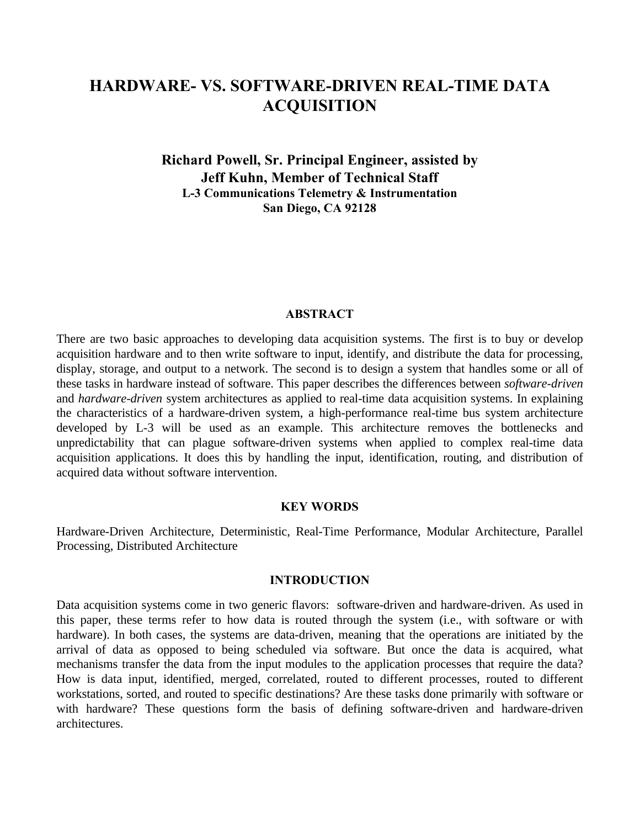# **HARDWARE- VS. SOFTWARE-DRIVEN REAL-TIME DATA ACQUISITION**

**Richard Powell, Sr. Principal Engineer, assisted by Jeff Kuhn, Member of Technical Staff L-3 Communications Telemetry & Instrumentation San Diego, CA 92128**

#### **ABSTRACT**

There are two basic approaches to developing data acquisition systems. The first is to buy or develop acquisition hardware and to then write software to input, identify, and distribute the data for processing, display, storage, and output to a network. The second is to design a system that handles some or all of these tasks in hardware instead of software. This paper describes the differences between *software-driven* and *hardware-driven* system architectures as applied to real-time data acquisition systems. In explaining the characteristics of a hardware-driven system, a high-performance real-time bus system architecture developed by L-3 will be used as an example. This architecture removes the bottlenecks and unpredictability that can plague software-driven systems when applied to complex real-time data acquisition applications. It does this by handling the input, identification, routing, and distribution of acquired data without software intervention.

#### **KEY WORDS**

Hardware-Driven Architecture, Deterministic, Real-Time Performance, Modular Architecture, Parallel Processing, Distributed Architecture

#### **INTRODUCTION**

Data acquisition systems come in two generic flavors: software-driven and hardware-driven. As used in this paper, these terms refer to how data is routed through the system (i.e., with software or with hardware). In both cases, the systems are data-driven, meaning that the operations are initiated by the arrival of data as opposed to being scheduled via software. But once the data is acquired, what mechanisms transfer the data from the input modules to the application processes that require the data? How is data input, identified, merged, correlated, routed to different processes, routed to different workstations, sorted, and routed to specific destinations? Are these tasks done primarily with software or with hardware? These questions form the basis of defining software-driven and hardware-driven architectures.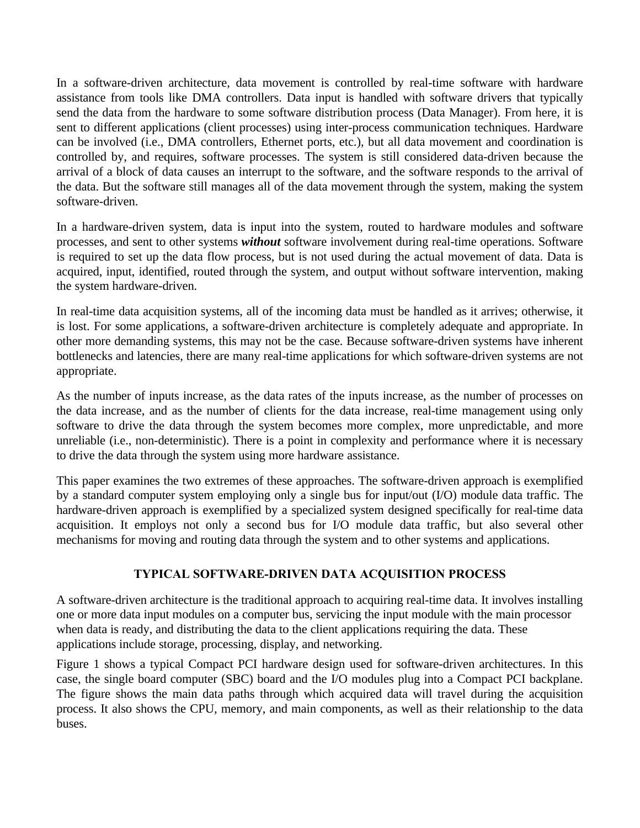In a software-driven architecture, data movement is controlled by real-time software with hardware assistance from tools like DMA controllers. Data input is handled with software drivers that typically send the data from the hardware to some software distribution process (Data Manager). From here, it is sent to different applications (client processes) using inter-process communication techniques. Hardware can be involved (i.e., DMA controllers, Ethernet ports, etc.), but all data movement and coordination is controlled by, and requires, software processes. The system is still considered data-driven because the arrival of a block of data causes an interrupt to the software, and the software responds to the arrival of the data. But the software still manages all of the data movement through the system, making the system software-driven.

In a hardware-driven system, data is input into the system, routed to hardware modules and software processes, and sent to other systems *without* software involvement during real-time operations. Software is required to set up the data flow process, but is not used during the actual movement of data. Data is acquired, input, identified, routed through the system, and output without software intervention, making the system hardware-driven.

In real-time data acquisition systems, all of the incoming data must be handled as it arrives; otherwise, it is lost. For some applications, a software-driven architecture is completely adequate and appropriate. In other more demanding systems, this may not be the case. Because software-driven systems have inherent bottlenecks and latencies, there are many real-time applications for which software-driven systems are not appropriate.

As the number of inputs increase, as the data rates of the inputs increase, as the number of processes on the data increase, and as the number of clients for the data increase, real-time management using only software to drive the data through the system becomes more complex, more unpredictable, and more unreliable (i.e., non-deterministic). There is a point in complexity and performance where it is necessary to drive the data through the system using more hardware assistance.

This paper examines the two extremes of these approaches. The software-driven approach is exemplified by a standard computer system employing only a single bus for input/out (I/O) module data traffic. The hardware-driven approach is exemplified by a specialized system designed specifically for real-time data acquisition. It employs not only a second bus for I/O module data traffic, but also several other mechanisms for moving and routing data through the system and to other systems and applications.

#### **TYPICAL SOFTWARE-DRIVEN DATA ACQUISITION PROCESS**

A software-driven architecture is the traditional approach to acquiring real-time data. It involves installing one or more data input modules on a computer bus, servicing the input module with the main processor when data is ready, and distributing the data to the client applications requiring the data. These applications include storage, processing, display, and networking.

Figure 1 shows a typical Compact PCI hardware design used for software-driven architectures. In this case, the single board computer (SBC) board and the I/O modules plug into a Compact PCI backplane. The figure shows the main data paths through which acquired data will travel during the acquisition process. It also shows the CPU, memory, and main components, as well as their relationship to the data buses.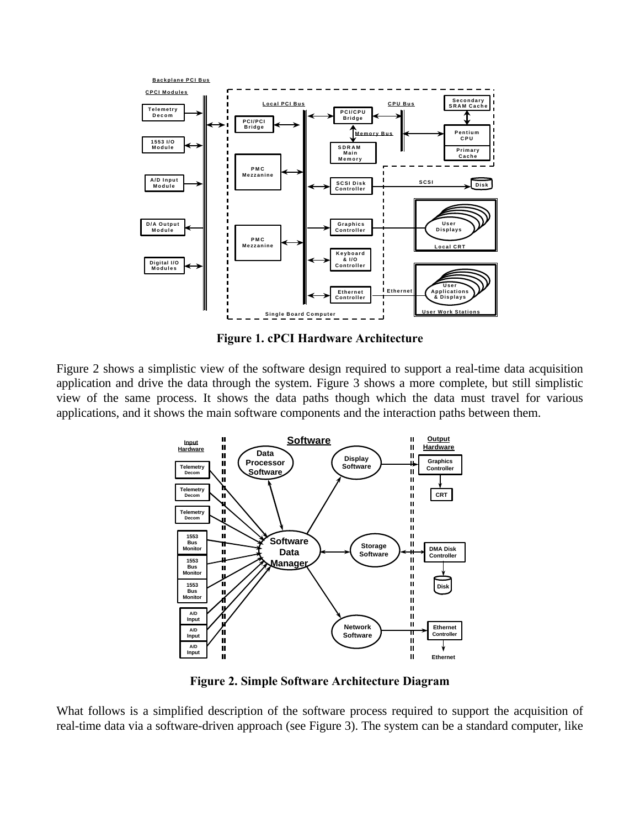

**Figure 1. cPCI Hardware Architecture**

Figure 2 shows a simplistic view of the software design required to support a real-time data acquisition application and drive the data through the system. Figure 3 shows a more complete, but still simplistic view of the same process. It shows the data paths though which the data must travel for various applications, and it shows the main software components and the interaction paths between them.



**Figure 2. Simple Software Architecture Diagram**

What follows is a simplified description of the software process required to support the acquisition of real-time data via a software-driven approach (see Figure 3). The system can be a standard computer, like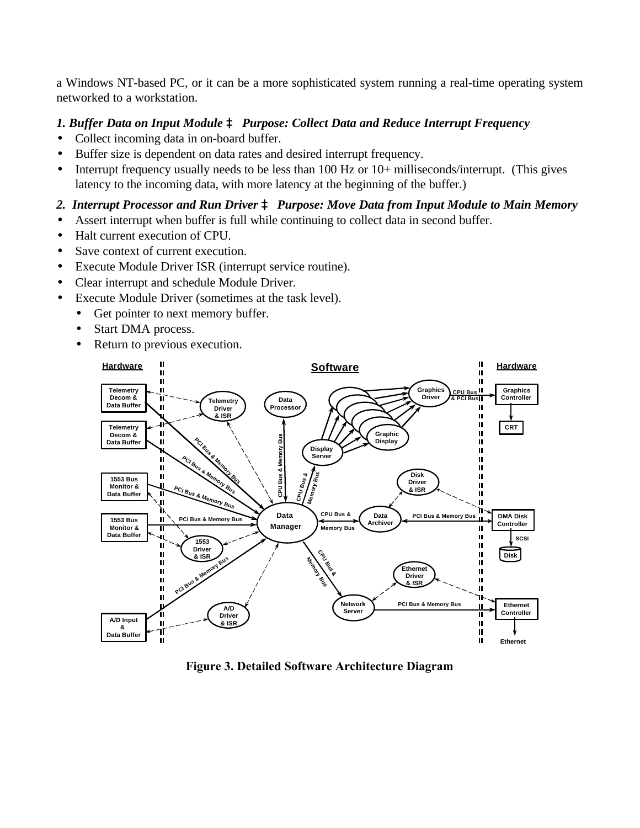a Windows NT-based PC, or it can be a more sophisticated system running a real-time operating system networked to a workstation.

### *1. Buffer Data on Input Module à Purpose: Collect Data and Reduce Interrupt Frequency*

- Collect incoming data in on-board buffer.
- Buffer size is dependent on data rates and desired interrupt frequency.
- Interrupt frequency usually needs to be less than 100 Hz or 10+ milliseconds/interrupt. (This gives latency to the incoming data, with more latency at the beginning of the buffer.)

### *2. Interrupt Processor and Run Driver à Purpose: Move Data from Input Module to Main Memory*

- Assert interrupt when buffer is full while continuing to collect data in second buffer.
- Halt current execution of CPU.
- Save context of current execution.
- Execute Module Driver ISR (interrupt service routine).
- Clear interrupt and schedule Module Driver.
- Execute Module Driver (sometimes at the task level).
	- Get pointer to next memory buffer.
	- Start DMA process.
	- Return to previous execution.



**Figure 3. Detailed Software Architecture Diagram**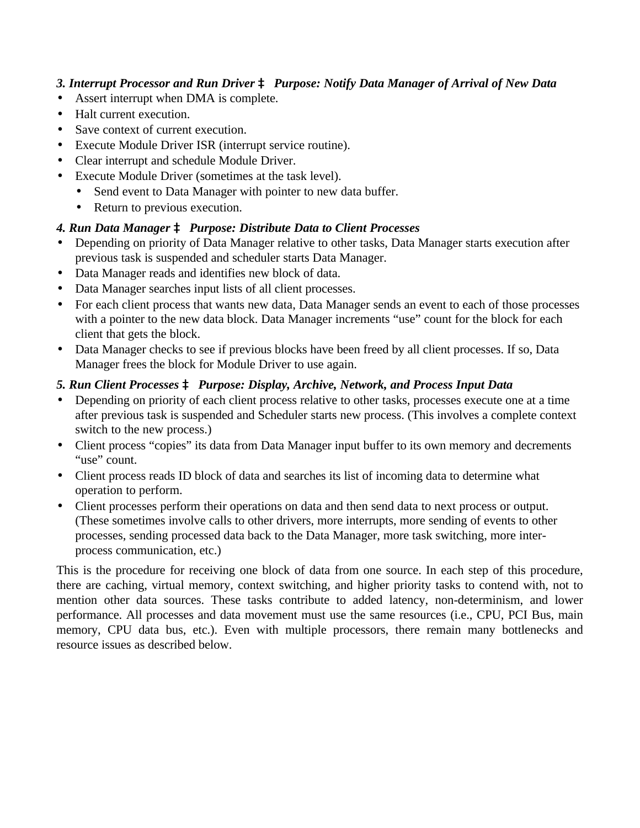### *3. Interrupt Processor and Run Driver à Purpose: Notify Data Manager of Arrival of New Data*

- Assert interrupt when DMA is complete.
- Halt current execution.
- Save context of current execution.
- Execute Module Driver ISR (interrupt service routine).
- Clear interrupt and schedule Module Driver.
- Execute Module Driver (sometimes at the task level).
	- Send event to Data Manager with pointer to new data buffer.
	- Return to previous execution.

## *4. Run Data Manager à Purpose: Distribute Data to Client Processes*

- Depending on priority of Data Manager relative to other tasks, Data Manager starts execution after previous task is suspended and scheduler starts Data Manager.
- Data Manager reads and identifies new block of data.
- Data Manager searches input lists of all client processes.
- For each client process that wants new data, Data Manager sends an event to each of those processes with a pointer to the new data block. Data Manager increments "use" count for the block for each client that gets the block.
- Data Manager checks to see if previous blocks have been freed by all client processes. If so, Data Manager frees the block for Module Driver to use again.

## *5. Run Client Processes à Purpose: Display, Archive, Network, and Process Input Data*

- Depending on priority of each client process relative to other tasks, processes execute one at a time after previous task is suspended and Scheduler starts new process. (This involves a complete context switch to the new process.)
- Client process "copies" its data from Data Manager input buffer to its own memory and decrements "use" count.
- Client process reads ID block of data and searches its list of incoming data to determine what operation to perform.
- Client processes perform their operations on data and then send data to next process or output. (These sometimes involve calls to other drivers, more interrupts, more sending of events to other processes, sending processed data back to the Data Manager, more task switching, more interprocess communication, etc.)

This is the procedure for receiving one block of data from one source. In each step of this procedure, there are caching, virtual memory, context switching, and higher priority tasks to contend with, not to mention other data sources. These tasks contribute to added latency, non-determinism, and lower performance. All processes and data movement must use the same resources (i.e., CPU, PCI Bus, main memory, CPU data bus, etc.). Even with multiple processors, there remain many bottlenecks and resource issues as described below.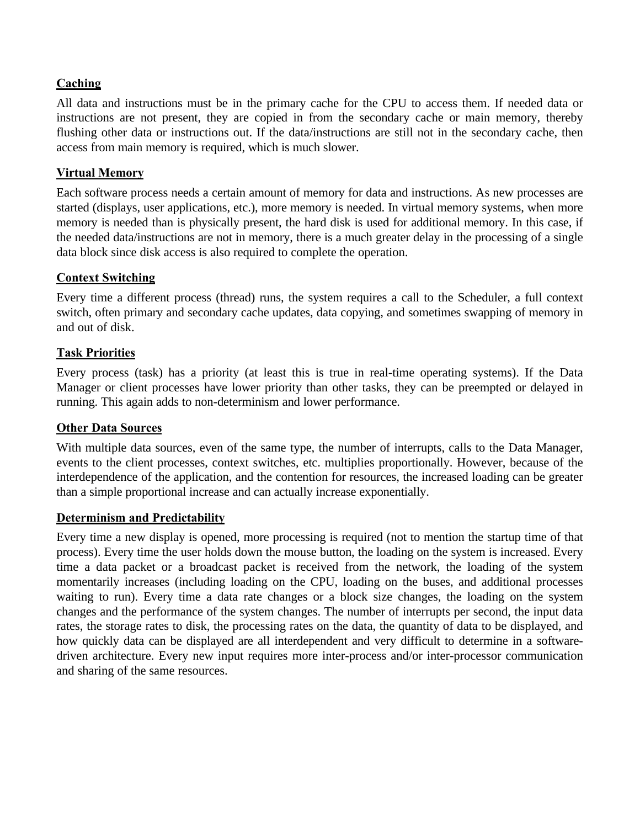### **Caching**

All data and instructions must be in the primary cache for the CPU to access them. If needed data or instructions are not present, they are copied in from the secondary cache or main memory, thereby flushing other data or instructions out. If the data/instructions are still not in the secondary cache, then access from main memory is required, which is much slower.

#### **Virtual Memory**

Each software process needs a certain amount of memory for data and instructions. As new processes are started (displays, user applications, etc.), more memory is needed. In virtual memory systems, when more memory is needed than is physically present, the hard disk is used for additional memory. In this case, if the needed data/instructions are not in memory, there is a much greater delay in the processing of a single data block since disk access is also required to complete the operation.

#### **Context Switching**

Every time a different process (thread) runs, the system requires a call to the Scheduler, a full context switch, often primary and secondary cache updates, data copying, and sometimes swapping of memory in and out of disk.

#### **Task Priorities**

Every process (task) has a priority (at least this is true in real-time operating systems). If the Data Manager or client processes have lower priority than other tasks, they can be preempted or delayed in running. This again adds to non-determinism and lower performance.

#### **Other Data Sources**

With multiple data sources, even of the same type, the number of interrupts, calls to the Data Manager, events to the client processes, context switches, etc. multiplies proportionally. However, because of the interdependence of the application, and the contention for resources, the increased loading can be greater than a simple proportional increase and can actually increase exponentially.

#### **Determinism and Predictability**

Every time a new display is opened, more processing is required (not to mention the startup time of that process). Every time the user holds down the mouse button, the loading on the system is increased. Every time a data packet or a broadcast packet is received from the network, the loading of the system momentarily increases (including loading on the CPU, loading on the buses, and additional processes waiting to run). Every time a data rate changes or a block size changes, the loading on the system changes and the performance of the system changes. The number of interrupts per second, the input data rates, the storage rates to disk, the processing rates on the data, the quantity of data to be displayed, and how quickly data can be displayed are all interdependent and very difficult to determine in a softwaredriven architecture. Every new input requires more inter-process and/or inter-processor communication and sharing of the same resources.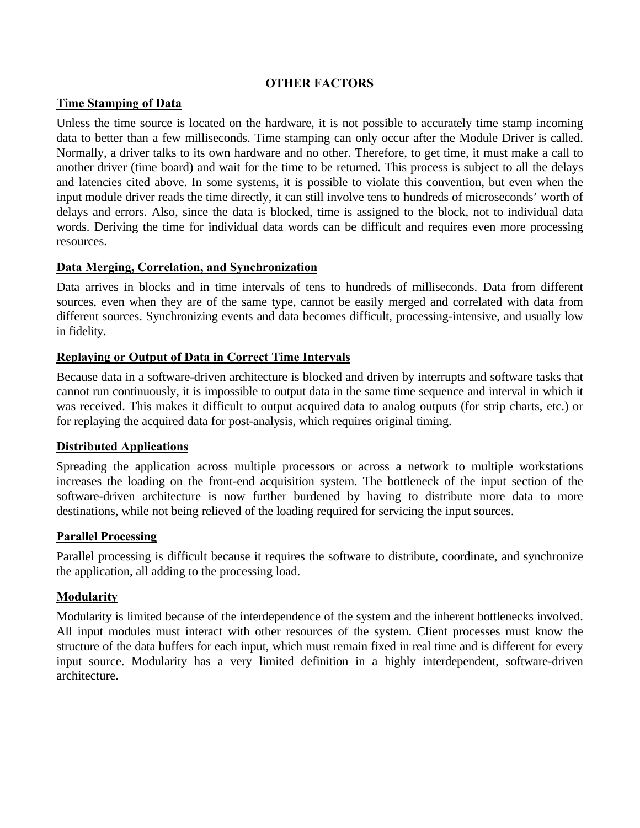#### **OTHER FACTORS**

#### **Time Stamping of Data**

Unless the time source is located on the hardware, it is not possible to accurately time stamp incoming data to better than a few milliseconds. Time stamping can only occur after the Module Driver is called. Normally, a driver talks to its own hardware and no other. Therefore, to get time, it must make a call to another driver (time board) and wait for the time to be returned. This process is subject to all the delays and latencies cited above. In some systems, it is possible to violate this convention, but even when the input module driver reads the time directly, it can still involve tens to hundreds of microseconds' worth of delays and errors. Also, since the data is blocked, time is assigned to the block, not to individual data words. Deriving the time for individual data words can be difficult and requires even more processing resources.

#### **Data Merging, Correlation, and Synchronization**

Data arrives in blocks and in time intervals of tens to hundreds of milliseconds. Data from different sources, even when they are of the same type, cannot be easily merged and correlated with data from different sources. Synchronizing events and data becomes difficult, processing-intensive, and usually low in fidelity.

#### **Replaying or Output of Data in Correct Time Intervals**

Because data in a software-driven architecture is blocked and driven by interrupts and software tasks that cannot run continuously, it is impossible to output data in the same time sequence and interval in which it was received. This makes it difficult to output acquired data to analog outputs (for strip charts, etc.) or for replaying the acquired data for post-analysis, which requires original timing.

#### **Distributed Applications**

Spreading the application across multiple processors or across a network to multiple workstations increases the loading on the front-end acquisition system. The bottleneck of the input section of the software-driven architecture is now further burdened by having to distribute more data to more destinations, while not being relieved of the loading required for servicing the input sources.

#### **Parallel Processing**

Parallel processing is difficult because it requires the software to distribute, coordinate, and synchronize the application, all adding to the processing load.

#### **Modularity**

Modularity is limited because of the interdependence of the system and the inherent bottlenecks involved. All input modules must interact with other resources of the system. Client processes must know the structure of the data buffers for each input, which must remain fixed in real time and is different for every input source. Modularity has a very limited definition in a highly interdependent, software-driven architecture.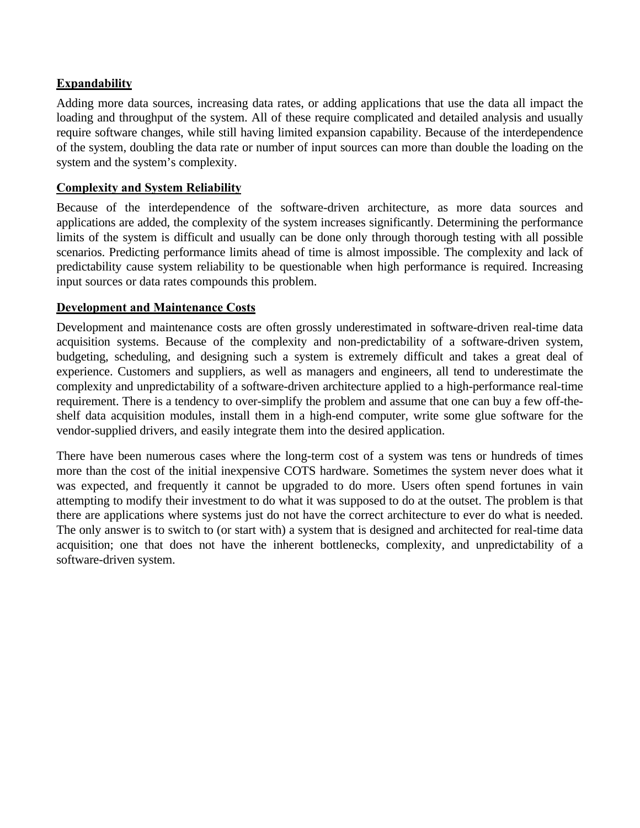### **Expandability**

Adding more data sources, increasing data rates, or adding applications that use the data all impact the loading and throughput of the system. All of these require complicated and detailed analysis and usually require software changes, while still having limited expansion capability. Because of the interdependence of the system, doubling the data rate or number of input sources can more than double the loading on the system and the system's complexity.

#### **Complexity and System Reliability**

Because of the interdependence of the software-driven architecture, as more data sources and applications are added, the complexity of the system increases significantly. Determining the performance limits of the system is difficult and usually can be done only through thorough testing with all possible scenarios. Predicting performance limits ahead of time is almost impossible. The complexity and lack of predictability cause system reliability to be questionable when high performance is required. Increasing input sources or data rates compounds this problem.

### **Development and Maintenance Costs**

Development and maintenance costs are often grossly underestimated in software-driven real-time data acquisition systems. Because of the complexity and non-predictability of a software-driven system, budgeting, scheduling, and designing such a system is extremely difficult and takes a great deal of experience. Customers and suppliers, as well as managers and engineers, all tend to underestimate the complexity and unpredictability of a software-driven architecture applied to a high-performance real-time requirement. There is a tendency to over-simplify the problem and assume that one can buy a few off-theshelf data acquisition modules, install them in a high-end computer, write some glue software for the vendor-supplied drivers, and easily integrate them into the desired application.

There have been numerous cases where the long-term cost of a system was tens or hundreds of times more than the cost of the initial inexpensive COTS hardware. Sometimes the system never does what it was expected, and frequently it cannot be upgraded to do more. Users often spend fortunes in vain attempting to modify their investment to do what it was supposed to do at the outset. The problem is that there are applications where systems just do not have the correct architecture to ever do what is needed. The only answer is to switch to (or start with) a system that is designed and architected for real-time data acquisition; one that does not have the inherent bottlenecks, complexity, and unpredictability of a software-driven system.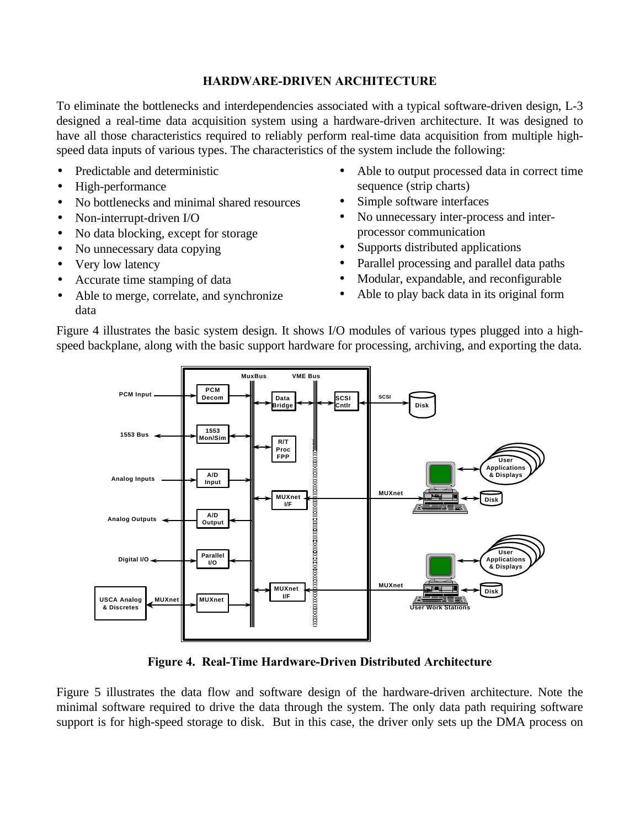#### **HARDWARE-DRIVEN ARCHITECTURE**

To eliminate the bottlenecks and interdependencies associated with a typical software-driven design, L-3 designed a real-time data acquisition system using a hardware-driven architecture. It was designed to have all those characteristics required to reliably perform real-time data acquisition from multiple highspeed data inputs of various types. The characteristics of the system include the following:

- Predictable and deterministic
- High-performance
- No bottlenecks and minimal shared resources
- Non-interrupt-driven I/O
- No data blocking, except for storage
- No unnecessary data copying
- Very low latency
- Accurate time stamping of data
- Able to merge, correlate, and synchronize data
- Able to output processed data in correct time sequence (strip charts)
- Simple software interfaces
- No unnecessary inter-process and interprocessor communication
- Supports distributed applications
- Parallel processing and parallel data paths
- Modular, expandable, and reconfigurable
- Able to play back data in its original form

Figure 4 illustrates the basic system design. It shows I/O modules of various types plugged into a highspeed backplane, along with the basic support hardware for processing, archiving, and exporting the data.



**Figure 4. Real-Time Hardware-Driven Distributed Architecture**

Figure 5 illustrates the data flow and software design of the hardware-driven architecture. Note the minimal software required to drive the data through the system. The only data path requiring software support is for high-speed storage to disk. But in this case, the driver only sets up the DMA process on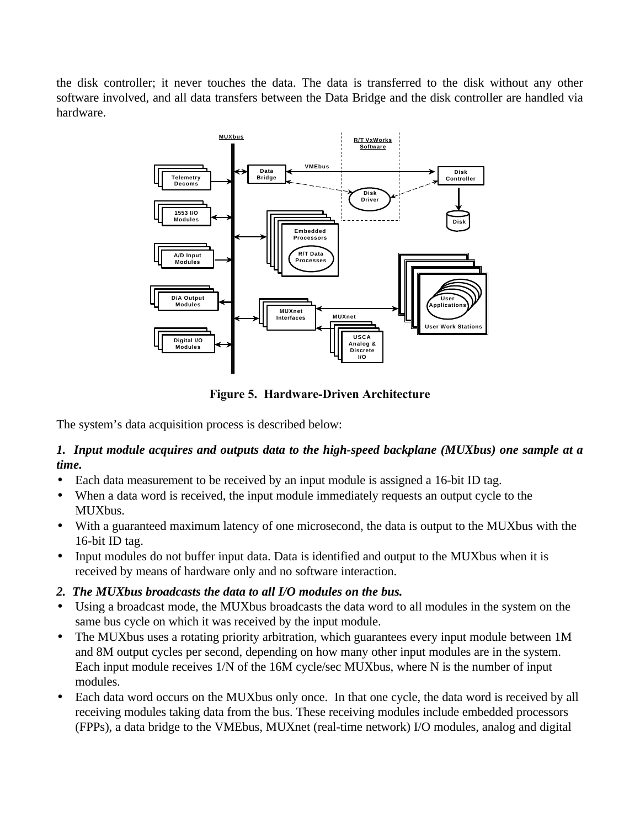the disk controller; it never touches the data. The data is transferred to the disk without any other software involved, and all data transfers between the Data Bridge and the disk controller are handled via hardware.



**Figure 5. Hardware-Driven Architecture**

The system's data acquisition process is described below:

### *1. Input module acquires and outputs data to the high-speed backplane (MUXbus) one sample at a time.*

- Each data measurement to be received by an input module is assigned a 16-bit ID tag.
- When a data word is received, the input module immediately requests an output cycle to the MUXbus.
- With a guaranteed maximum latency of one microsecond, the data is output to the MUXbus with the 16-bit ID tag.
- Input modules do not buffer input data. Data is identified and output to the MUXbus when it is received by means of hardware only and no software interaction.
- *2. The MUXbus broadcasts the data to all I/O modules on the bus.*
- Using a broadcast mode, the MUXbus broadcasts the data word to all modules in the system on the same bus cycle on which it was received by the input module.
- The MUXbus uses a rotating priority arbitration, which guarantees every input module between 1M and 8M output cycles per second, depending on how many other input modules are in the system. Each input module receives 1/N of the 16M cycle/sec MUXbus, where N is the number of input modules.
- Each data word occurs on the MUXbus only once. In that one cycle, the data word is received by all receiving modules taking data from the bus. These receiving modules include embedded processors (FPPs), a data bridge to the VMEbus, MUXnet (real-time network) I/O modules, analog and digital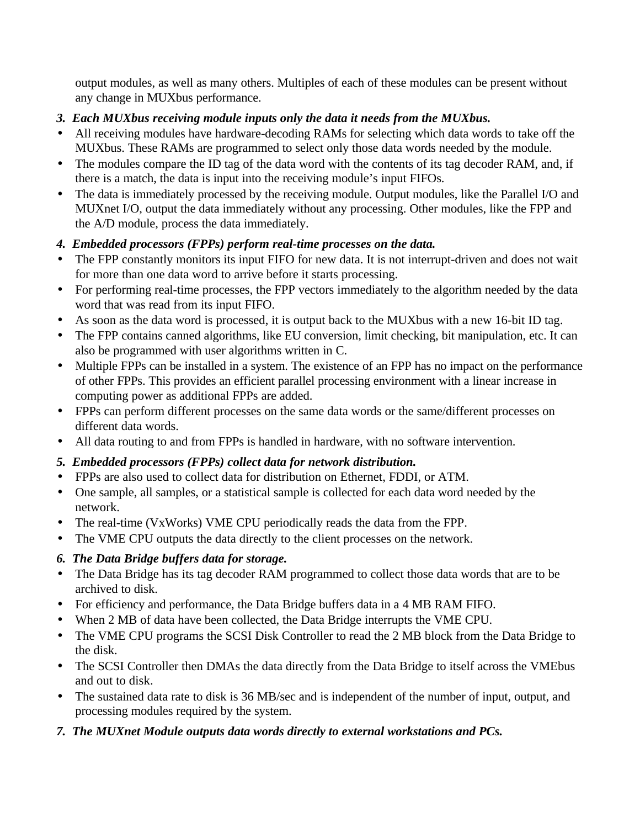output modules, as well as many others. Multiples of each of these modules can be present without any change in MUXbus performance.

## *3. Each MUXbus receiving module inputs only the data it needs from the MUXbus.*

- All receiving modules have hardware-decoding RAMs for selecting which data words to take off the MUXbus. These RAMs are programmed to select only those data words needed by the module.
- The modules compare the ID tag of the data word with the contents of its tag decoder RAM, and, if there is a match, the data is input into the receiving module's input FIFOs.
- The data is immediately processed by the receiving module. Output modules, like the Parallel I/O and MUXnet I/O, output the data immediately without any processing. Other modules, like the FPP and the A/D module, process the data immediately.

## *4. Embedded processors (FPPs) perform real-time processes on the data.*

- The FPP constantly monitors its input FIFO for new data. It is not interrupt-driven and does not wait for more than one data word to arrive before it starts processing.
- For performing real-time processes, the FPP vectors immediately to the algorithm needed by the data word that was read from its input FIFO.
- As soon as the data word is processed, it is output back to the MUXbus with a new 16-bit ID tag.
- The FPP contains canned algorithms, like EU conversion, limit checking, bit manipulation, etc. It can also be programmed with user algorithms written in C.
- Multiple FPPs can be installed in a system. The existence of an FPP has no impact on the performance of other FPPs. This provides an efficient parallel processing environment with a linear increase in computing power as additional FPPs are added.
- FPPs can perform different processes on the same data words or the same/different processes on different data words.
- All data routing to and from FPPs is handled in hardware, with no software intervention.

## *5. Embedded processors (FPPs) collect data for network distribution.*

- FPPs are also used to collect data for distribution on Ethernet, FDDI, or ATM.
- One sample, all samples, or a statistical sample is collected for each data word needed by the network.
- The real-time (VxWorks) VME CPU periodically reads the data from the FPP.
- The VME CPU outputs the data directly to the client processes on the network.

## *6. The Data Bridge buffers data for storage.*

- The Data Bridge has its tag decoder RAM programmed to collect those data words that are to be archived to disk.
- For efficiency and performance, the Data Bridge buffers data in a 4 MB RAM FIFO.
- When 2 MB of data have been collected, the Data Bridge interrupts the VME CPU.
- The VME CPU programs the SCSI Disk Controller to read the 2 MB block from the Data Bridge to the disk.
- The SCSI Controller then DMAs the data directly from the Data Bridge to itself across the VMEbus and out to disk.
- The sustained data rate to disk is 36 MB/sec and is independent of the number of input, output, and processing modules required by the system.
- *7. The MUXnet Module outputs data words directly to external workstations and PCs.*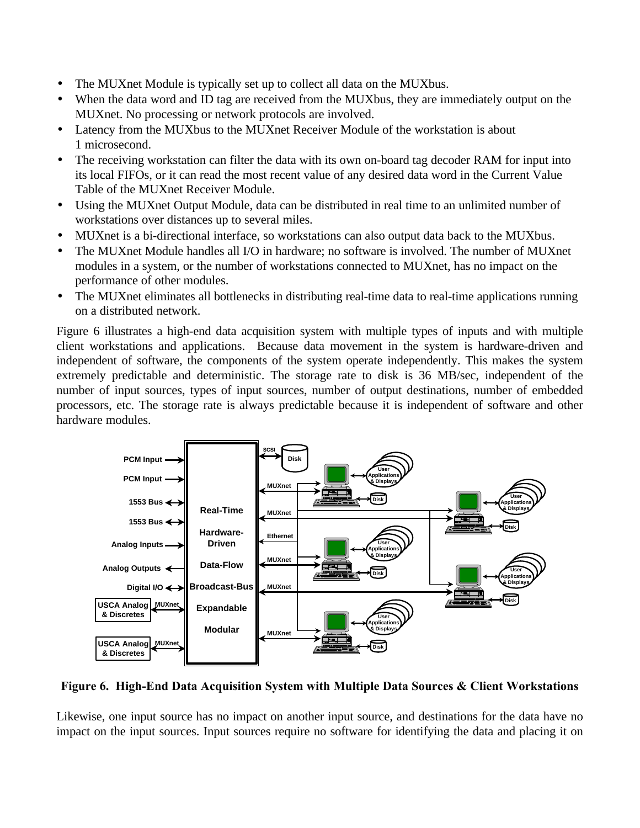- The MUXnet Module is typically set up to collect all data on the MUXbus.
- When the data word and ID tag are received from the MUXbus, they are immediately output on the MUXnet. No processing or network protocols are involved.
- Latency from the MUXbus to the MUXnet Receiver Module of the workstation is about 1 microsecond.
- The receiving workstation can filter the data with its own on-board tag decoder RAM for input into its local FIFOs, or it can read the most recent value of any desired data word in the Current Value Table of the MUXnet Receiver Module.
- Using the MUXnet Output Module, data can be distributed in real time to an unlimited number of workstations over distances up to several miles.
- MUXnet is a bi-directional interface, so workstations can also output data back to the MUXbus.
- The MUXnet Module handles all I/O in hardware; no software is involved. The number of MUXnet modules in a system, or the number of workstations connected to MUXnet, has no impact on the performance of other modules.
- The MUXnet eliminates all bottlenecks in distributing real-time data to real-time applications running on a distributed network.

Figure 6 illustrates a high-end data acquisition system with multiple types of inputs and with multiple client workstations and applications. Because data movement in the system is hardware-driven and independent of software, the components of the system operate independently. This makes the system extremely predictable and deterministic. The storage rate to disk is 36 MB/sec, independent of the number of input sources, types of input sources, number of output destinations, number of embedded processors, etc. The storage rate is always predictable because it is independent of software and other hardware modules.



**Figure 6. High-End Data Acquisition System with Multiple Data Sources & Client Workstations**

Likewise, one input source has no impact on another input source, and destinations for the data have no impact on the input sources. Input sources require no software for identifying the data and placing it on